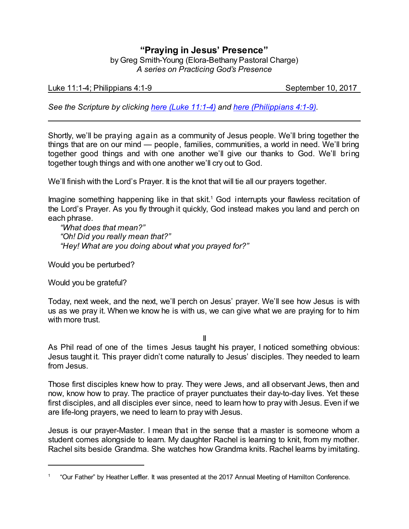## **"Praying in Jesus' Presence"**

by Greg Smith-Young (Elora-Bethany Pastoral Charge) *A series on Practicing God's Presence*

Luke 11:1-4; Philippians 4:1-9 September 10, 2017

*See the Scripture by clicking [here \(Luke 11:1-4\)](https://www.biblegateway.com/passage/?search=Luke+11%3A1-4&version=CEB) and [here \(Philippians 4:1-9\)](https://www.biblegateway.com/passage/?search=Philippians+4%3A1-9&version=CEB).*

Shortly, we'll be praying again as a community of Jesus people. We'll bring together the things that are on our mind — people, families, communities, a world in need. We'll bring together good things and with one another we'll give our thanks to God. We'll bring together tough things and with one another we'll cry out to God.

We'll finish with the Lord's Prayer. It is the knot that will tie all our prayers together.

Imagine something happening like in that skit. <sup>1</sup> God interrupts your flawless recitation of the Lord's Prayer. As you fly through it quickly, God instead makes you land and perch on each phrase.

*"What does that mean?" "Oh! Did you really mean that?" "Hey! What are you doing about what you prayed for?"*

Would you be perturbed?

Would you be grateful?

Today, next week, and the next, we'll perch on Jesus' prayer. We'll see how Jesus is with us as we pray it. When we know he is with us, we can give what we are praying for to him with more trust.

II

As Phil read of one of the times Jesus taught his prayer, I noticed something obvious: Jesus taught it. This prayer didn't come naturally to Jesus' disciples. They needed to learn from Jesus.

Those first disciples knew how to pray. They were Jews, and all observant Jews, then and now, know how to pray. The practice of prayer punctuates their day-to-day lives. Yet these first disciples, and all disciples ever since, need to learn how to pray with Jesus. Even if we are life-long prayers, we need to learn to pray with Jesus.

Jesus is our prayer-Master. I mean that in the sense that a master is someone whom a student comes alongside to learn. My daughter Rachel is learning to knit, from my mother. Rachel sits beside Grandma. She watches how Grandma knits. Rachel learns by imitating.

<sup>1</sup> "Our Father" by Heather Leffler. It was presented at the 2017 Annual Meeting of Hamilton Conference.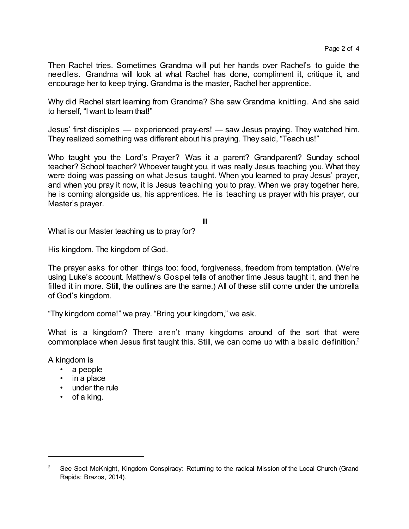Then Rachel tries. Sometimes Grandma will put her hands over Rachel's to guide the needles. Grandma will look at what Rachel has done, compliment it, critique it, and encourage her to keep trying. Grandma is the master, Rachel her apprentice.

Why did Rachel start learning from Grandma? She saw Grandma knitting. And she said to herself, "I want to learn that!"

Jesus' first disciples — experienced pray-ers! — saw Jesus praying. They watched him. They realized something was different about his praying. They said, "Teach us!"

Who taught you the Lord's Prayer? Was it a parent? Grandparent? Sunday school teacher? School teacher? Whoever taught you, it was really Jesus teaching you. What they were doing was passing on what Jesus taught. When you learned to pray Jesus' prayer, and when you pray it now, it is Jesus teaching you to pray. When we pray together here, he is coming alongside us, his apprentices. He is teaching us prayer with his prayer, our Master's prayer.

III

What is our Master teaching us to pray for?

His kingdom. The kingdom of God.

The prayer asks for other things too: food, forgiveness, freedom from temptation. (We're using Luke's account. Matthew's Gospel tells of another time Jesus taught it, and then he filled it in more. Still, the outlines are the same.) All of these still come under the umbrella of God's kingdom.

"Thy kingdom come!" we pray. "Bring your kingdom," we ask.

What is a kingdom? There aren't many kingdoms around of the sort that were commonplace when Jesus first taught this. Still, we can come up with a basic definition.<sup>2</sup>

A kingdom is

- a people
- in a place
- under the rule
- of a king.

<sup>&</sup>lt;sup>2</sup> See Scot McKnight, Kingdom Conspiracy: Returning to the radical Mission of the Local Church (Grand Rapids: Brazos, 2014).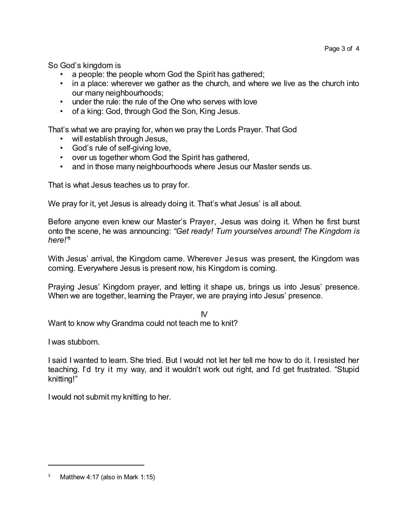So God's kingdom is

- a people: the people whom God the Spirit has gathered;
- in a place: wherever we gather as the church, and where we live as the church into our many neighbourhoods;
- under the rule: the rule of the One who serves with love
- of a king: God, through God the Son, King Jesus.

That's what we are praying for, when we pray the Lords Prayer. That God

- will establish through Jesus,
- God's rule of self-giving love,
- over us together whom God the Spirit has gathered,
- and in those many neighbourhoods where Jesus our Master sends us.

That is what Jesus teaches us to pray for.

We pray for it, yet Jesus is already doing it. That's what Jesus' is all about.

Before anyone even knew our Master's Prayer, Jesus was doing it. When he first burst onto the scene, he was announcing: *"Get ready! Turn yourselves around! The Kingdom is here!"* 3

With Jesus' arrival, the Kingdom came. Wherever Jesus was present, the Kingdom was coming. Everywhere Jesus is present now, his Kingdom is coming.

Praying Jesus' Kingdom prayer, and letting it shape us, brings us into Jesus' presence. When we are together, learning the Prayer, we are praying into Jesus' presence.

IV

Want to know why Grandma could not teach me to knit?

I was stubborn.

I said I wanted to learn. She tried. But I would not let her tell me how to do it. I resisted her teaching. I'd try it my way, and it wouldn't work out right, and I'd get frustrated. "Stupid knitting!"

I would not submit my knitting to her.

<sup>&</sup>lt;sup>3</sup> Matthew 4:17 (also in Mark 1:15)